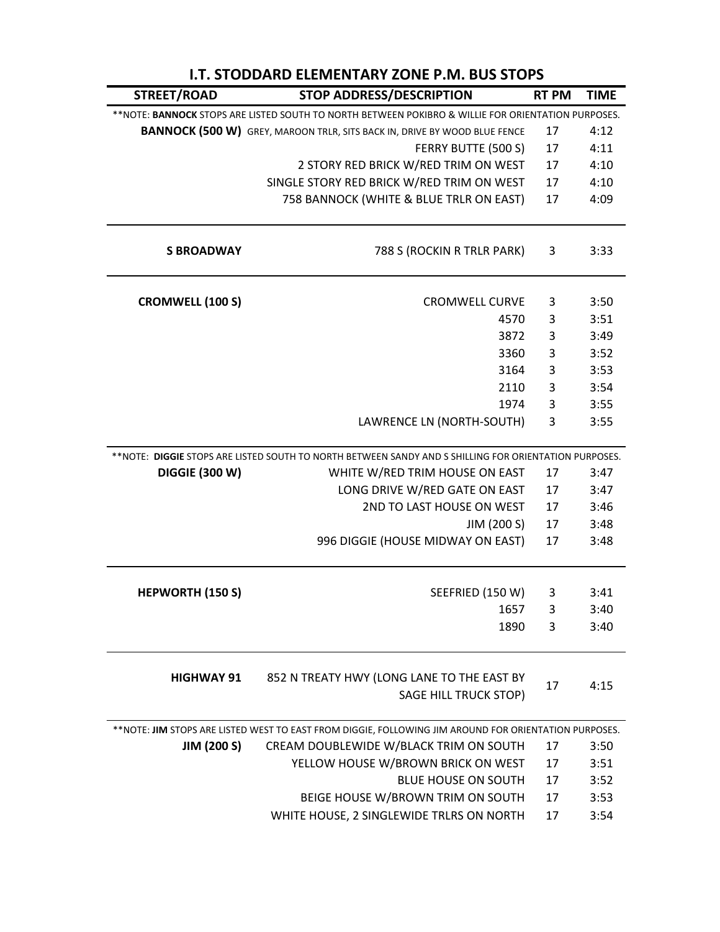| STREET/ROAD                                                                                         | <b>STOP ADDRESS/DESCRIPTION</b>                                                                        | <b>RT PM</b> | <b>TIME</b> |  |  |
|-----------------------------------------------------------------------------------------------------|--------------------------------------------------------------------------------------------------------|--------------|-------------|--|--|
| ** NOTE: BANNOCK STOPS ARE LISTED SOUTH TO NORTH BETWEEN POKIBRO & WILLIE FOR ORIENTATION PURPOSES. |                                                                                                        |              |             |  |  |
|                                                                                                     | <b>BANNOCK (500 W)</b> GREY, MAROON TRLR, SITS BACK IN, DRIVE BY WOOD BLUE FENCE                       | 17           | 4:12        |  |  |
|                                                                                                     | FERRY BUTTE (500 S)                                                                                    | 17           | 4:11        |  |  |
|                                                                                                     | 2 STORY RED BRICK W/RED TRIM ON WEST                                                                   | 17           | 4:10        |  |  |
|                                                                                                     | SINGLE STORY RED BRICK W/RED TRIM ON WEST                                                              | 17           | 4:10        |  |  |
|                                                                                                     | 758 BANNOCK (WHITE & BLUE TRLR ON EAST)                                                                | 17           | 4:09        |  |  |
| <b>S BROADWAY</b>                                                                                   | 788 S (ROCKIN R TRLR PARK)                                                                             | 3            | 3:33        |  |  |
| <b>CROMWELL (100 S)</b>                                                                             | <b>CROMWELL CURVE</b>                                                                                  | 3            | 3:50        |  |  |
|                                                                                                     | 4570                                                                                                   | 3            | 3:51        |  |  |
|                                                                                                     | 3872                                                                                                   | 3            | 3:49        |  |  |
|                                                                                                     | 3360                                                                                                   | 3            | 3:52        |  |  |
|                                                                                                     | 3164                                                                                                   | 3            | 3:53        |  |  |
|                                                                                                     | 2110                                                                                                   | 3            | 3:54        |  |  |
|                                                                                                     | 1974                                                                                                   | 3            | 3:55        |  |  |
|                                                                                                     | LAWRENCE LN (NORTH-SOUTH)                                                                              | 3            | 3:55        |  |  |
|                                                                                                     | ** NOTE: DIGGIE STOPS ARE LISTED SOUTH TO NORTH BETWEEN SANDY AND S SHILLING FOR ORIENTATION PURPOSES. |              |             |  |  |
| <b>DIGGIE (300 W)</b>                                                                               | WHITE W/RED TRIM HOUSE ON EAST                                                                         | 17           | 3:47        |  |  |
|                                                                                                     | LONG DRIVE W/RED GATE ON EAST                                                                          | 17           | 3:47        |  |  |
|                                                                                                     | 2ND TO LAST HOUSE ON WEST                                                                              | 17           | 3:46        |  |  |
|                                                                                                     | JIM (200 S)                                                                                            | 17           | 3:48        |  |  |
|                                                                                                     | 996 DIGGIE (HOUSE MIDWAY ON EAST)                                                                      | 17           | 3:48        |  |  |
| <b>HEPWORTH (150 S)</b>                                                                             | SEEFRIED (150 W)                                                                                       | 3            | 3:41        |  |  |
|                                                                                                     | 1657                                                                                                   | 3            | 3:40        |  |  |
|                                                                                                     | 1890                                                                                                   | 3            | 3:40        |  |  |
|                                                                                                     |                                                                                                        |              |             |  |  |
| <b>HIGHWAY 91</b>                                                                                   | 852 N TREATY HWY (LONG LANE TO THE EAST BY<br><b>SAGE HILL TRUCK STOP)</b>                             | 17           | 4:15        |  |  |
|                                                                                                     | ** NOTE: JIM STOPS ARE LISTED WEST TO EAST FROM DIGGIE, FOLLOWING JIM AROUND FOR ORIENTATION PURPOSES. |              |             |  |  |
| <b>JIM (200 S)</b>                                                                                  | CREAM DOUBLEWIDE W/BLACK TRIM ON SOUTH                                                                 | 17           | 3:50        |  |  |
|                                                                                                     | YELLOW HOUSE W/BROWN BRICK ON WEST                                                                     | 17           | 3:51        |  |  |
|                                                                                                     | <b>BLUE HOUSE ON SOUTH</b>                                                                             | 17           | 3:52        |  |  |
|                                                                                                     | BEIGE HOUSE W/BROWN TRIM ON SOUTH                                                                      | 17           | 3:53        |  |  |
|                                                                                                     | WHITE HOUSE, 2 SINGLEWIDE TRLRS ON NORTH                                                               | 17           | 3:54        |  |  |

## **I.T. STODDARD ELEMENTARY ZONE P.M. BUS STOPS**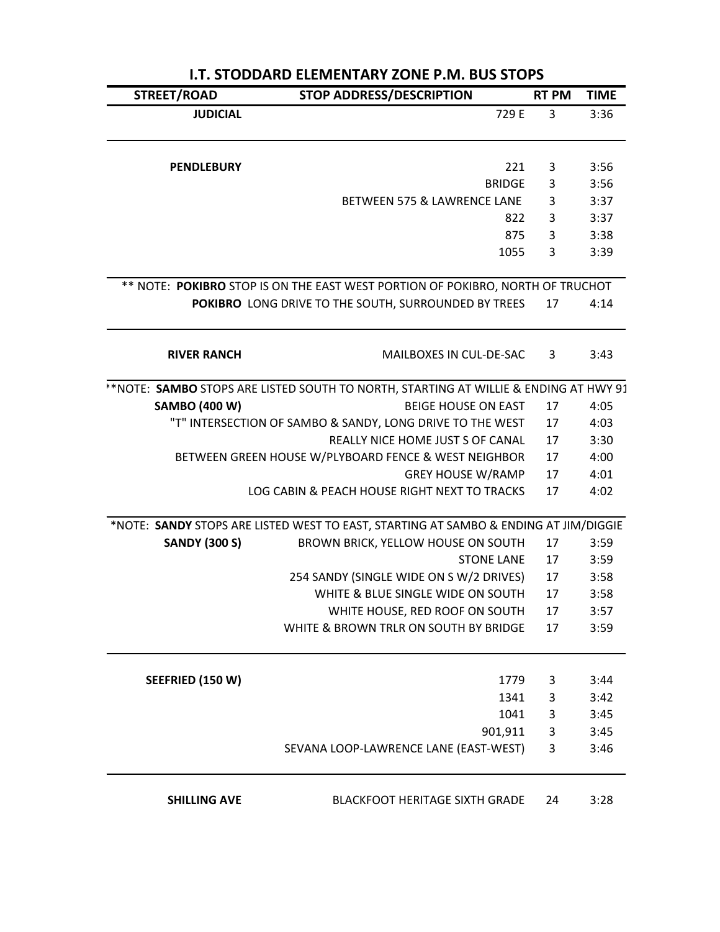| STREET/ROAD          | STOP ADDRESS/DESCRIPTION                                                             | <b>RT PM</b> | <b>TIME</b>  |
|----------------------|--------------------------------------------------------------------------------------|--------------|--------------|
| <b>JUDICIAL</b>      | 729 E                                                                                | 3            | 3:36         |
| <b>PENDLEBURY</b>    | 221                                                                                  | 3            | 3:56         |
|                      | <b>BRIDGE</b>                                                                        | 3            | 3:56         |
|                      | BETWEEN 575 & LAWRENCE LANE                                                          | 3            | 3:37         |
|                      | 822                                                                                  | 3            | 3:37         |
|                      | 875                                                                                  | 3            | 3:38         |
|                      | 1055                                                                                 | 3            | 3:39         |
|                      | ** NOTE: POKIBRO STOP IS ON THE EAST WEST PORTION OF POKIBRO, NORTH OF TRUCHOT       |              |              |
|                      | POKIBRO LONG DRIVE TO THE SOUTH, SURROUNDED BY TREES                                 | 17           | 4:14         |
| <b>RIVER RANCH</b>   | MAILBOXES IN CUL-DE-SAC                                                              | 3            | 3:43         |
|                      | **NOTE: SAMBO STOPS ARE LISTED SOUTH TO NORTH, STARTING AT WILLIE & ENDING AT HWY 91 |              |              |
| <b>SAMBO (400 W)</b> | <b>BEIGE HOUSE ON EAST</b>                                                           | 17           | 4:05         |
|                      | "T" INTERSECTION OF SAMBO & SANDY, LONG DRIVE TO THE WEST                            | 17           | 4:03         |
|                      | REALLY NICE HOME JUST S OF CANAL                                                     | 17           | 3:30         |
|                      | BETWEEN GREEN HOUSE W/PLYBOARD FENCE & WEST NEIGHBOR                                 | 17           | 4:00         |
|                      | <b>GREY HOUSE W/RAMP</b>                                                             | 17           | 4:01         |
|                      | LOG CABIN & PEACH HOUSE RIGHT NEXT TO TRACKS                                         | 17           | 4:02         |
|                      | *NOTE: SANDY STOPS ARE LISTED WEST TO EAST, STARTING AT SAMBO & ENDING AT JIM/DIGGIE |              |              |
| <b>SANDY (300 S)</b> | BROWN BRICK, YELLOW HOUSE ON SOUTH                                                   | 17           | 3:59         |
|                      | <b>STONE LANE</b>                                                                    | 17           | 3:59         |
|                      | 254 SANDY (SINGLE WIDE ON S W/2 DRIVES)                                              | 17           | 3:58         |
|                      | WHITE & BLUE SINGLE WIDE ON SOUTH                                                    | 17           | 3:58         |
|                      | WHITE HOUSE, RED ROOF ON SOUTH                                                       | 17           | 3:57         |
|                      | WHITE & BROWN TRLR ON SOUTH BY BRIDGE                                                | 17           | 3:59         |
| SEEFRIED (150 W)     | 1779                                                                                 |              |              |
|                      | 1341                                                                                 | 3<br>3       | 3:44<br>3:42 |
|                      | 1041                                                                                 | 3            | 3:45         |
|                      | 901,911                                                                              | 3            | 3:45         |
|                      | SEVANA LOOP-LAWRENCE LANE (EAST-WEST)                                                | 3            | 3:46         |
| <b>SHILLING AVE</b>  | <b>BLACKFOOT HERITAGE SIXTH GRADE</b>                                                | 24           | 3:28         |

## **I.T. STODDARD ELEMENTARY ZONE P.M. BUS STOPS**